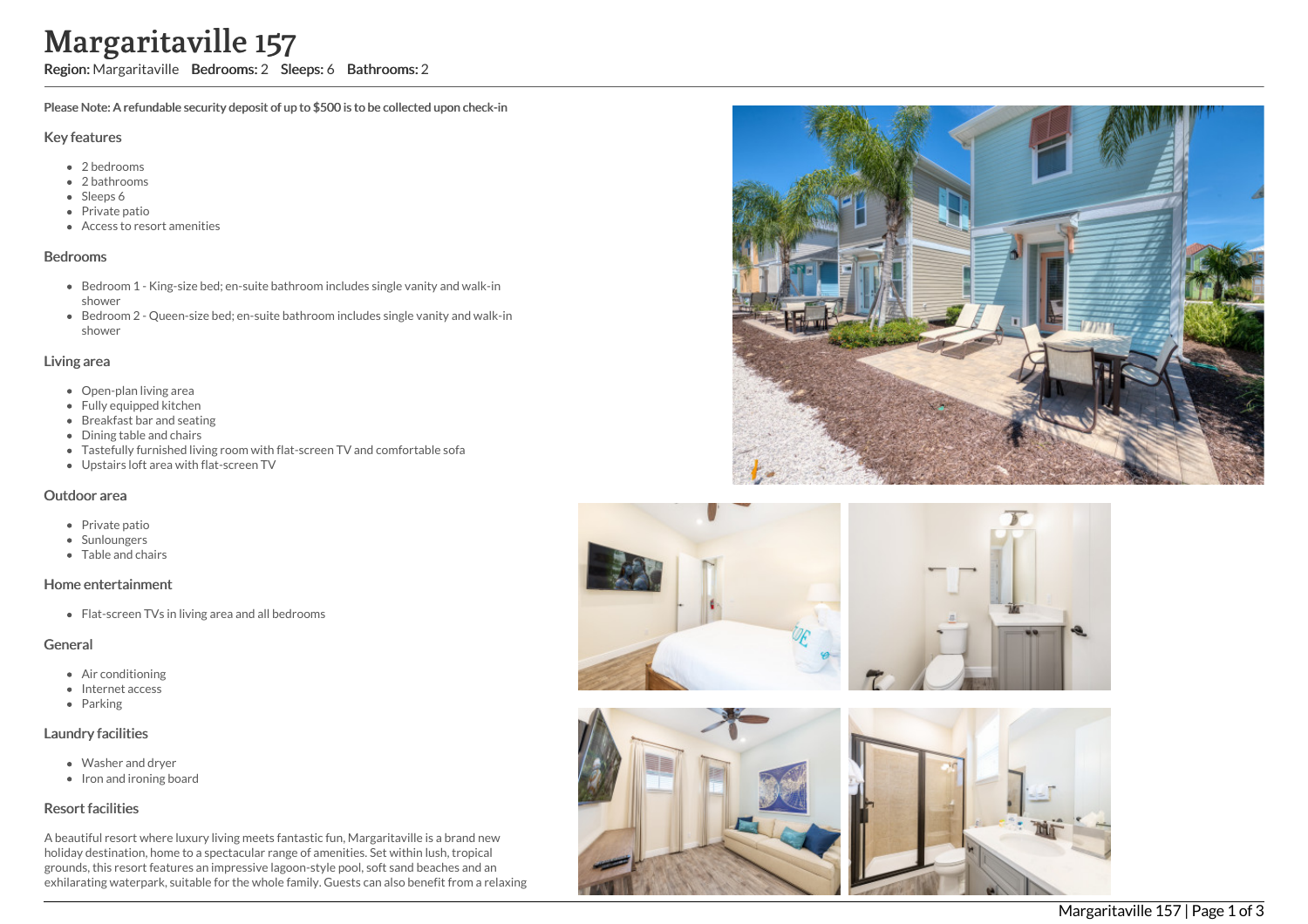# Margaritaville 157

Region: Margaritaville Bedrooms: 2 Sleeps: 6 Bathrooms: 2

Please Note: A refundable security deposit of up to \$500 is to be collected upon check-in

#### Key features

- 2 bedrooms
- 2 bathrooms
- Sleeps 6
- Private patio
- Access to resort amenities

#### Bedrooms

- Bedroom 1 King-size bed; en-suite bathroom includes single vanity and walk-in shower
- Bedroom 2 Queen-size bed; en-suite bathroom includes single vanity and walk-in shower

### Living area

- Open-plan living area
- Fully equipped kitchen
- Breakfast bar and seating
- Dining table and chairs
- Tastefully furnished living room with flat-screen TV and comfortable sofa
- Upstairs loft area with flat-screen TV

#### Outdoor area

- Private patio
- Sunloungers
- Table and chairs

## Home entertainment

Flat-screen TVs in living area and all bedrooms

## General

- Air conditioning
- Internet access
- Parking

# Laundry facilities

- Washer and dryer
- Iron and ironing board

# Resort facilities

A beautiful resort where luxury living meets fantastic fun, Margaritaville is a brand new holiday destination, home to a spectacular range of amenities. Set within lush, tropical grounds, this resort features an impressive lagoon-style pool, soft sand beaches and an exhilarating waterpark, suitable for the whole family. Guests can also benefit from a relaxing





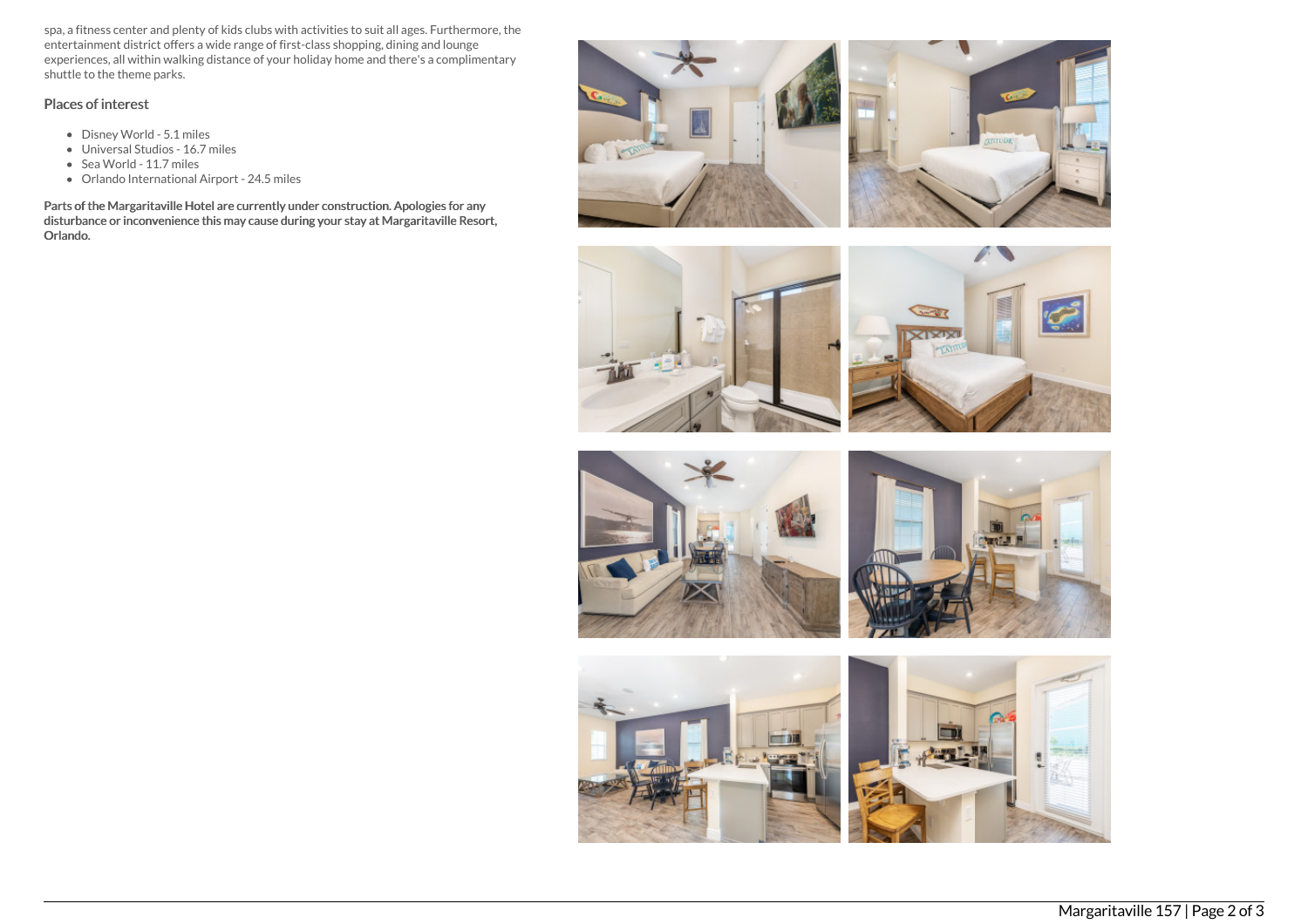spa, a fitness center and plenty of kids clubs with activities to suit all ages. Furthermore, the entertainment district offers a wide range of first-class shopping, dining and lounge experiences, all within walking distance of your holiday home and there's a complimentary shuttle to the theme parks.

## Places of interest

- Disney World 5.1 miles
- Universal Studios 16.7 miles
- Sea World 11.7 miles
- Orlando International Airport 24.5 miles

Parts of the Margaritaville Hotel are currently under construction. Apologies for any disturbance or inconvenience this may cause during your stay at Margaritaville Resort, Orlando.